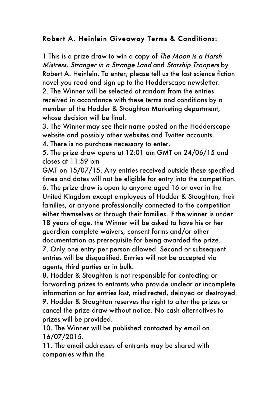## Robert A. Heinlein Giveaway Terms & Conditions:

1 This is a prize draw to win a copy of The Moon is a Harsh Mistress, Stranger in a Strange Land and Starship Troopers by Robert A. Heinlein. To enter, please tell us the last science fiction novel you read and sign up to the Hodderscape newsletter. 2. The Winner will be selected at random from the entries received in accordance with these terms and conditions by a member of the Hodder & Stoughton Marketing department, whose decision will be final.

3. The Winner may see their name posted on the Hodderscape website and possibly other websites and Twitter accounts.

4. There is no purchase necessary to enter.

5. The prize draw opens at 12:01 am GMT on 24/06/15 and closes at 11:59 pm

GMT on 15/07/15. Any entries received outside these specified times and dates will not be eligible for entry into the competition. 6. The prize draw is open to anyone aged 16 or over in the United Kingdom except employees of Hodder & Stoughton, their families, or anyone professionally connected to the competition either themselves or through their families. If the winner is under 18 years of age, the Winner will be asked to have his or her guardian complete waivers, consent forms and/or other documentation as prerequisite for being awarded the prize. 7. Only one entry per person allowed. Second or subsequent entries will be disqualified. Entries will not be accepted via

agents, third parties or in bulk.

8. Hodder & Stoughton is not responsible for contacting or forwarding prizes to entrants who provide unclear or incomplete information or for entries lost, misdirected, delayed or destroyed. 9. Hodder & Stoughton reserves the right to alter the prizes or cancel the prize draw without notice. No cash alternatives to prizes will be provided.

10. The Winner will be published contacted by email on 16/07/2015.

11. The email addresses of entrants may be shared with companies within the